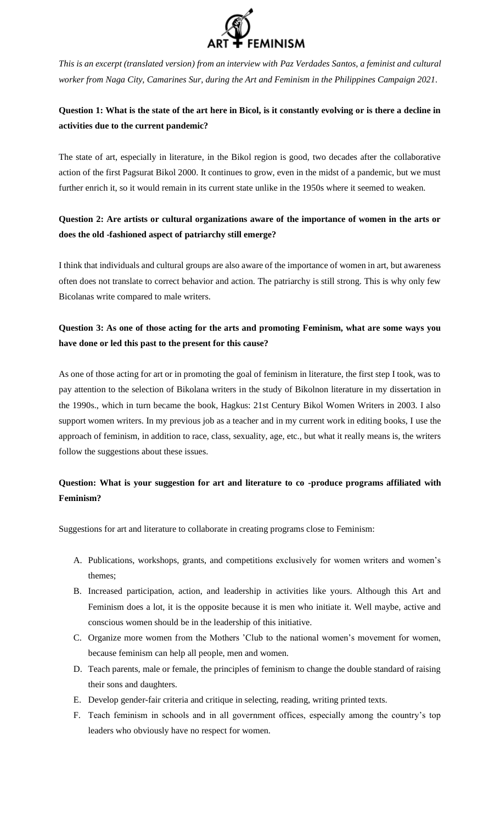

*This is an excerpt (translated version) from an interview with Paz Verdades Santos, a feminist and cultural worker from Naga City, Camarines Sur, during the Art and Feminism in the Philippines Campaign 2021.*

## **Question 1: What is the state of the art here in Bicol, is it constantly evolving or is there a decline in activities due to the current pandemic?**

The state of art, especially in literature, in the Bikol region is good, two decades after the collaborative action of the first Pagsurat Bikol 2000. It continues to grow, even in the midst of a pandemic, but we must further enrich it, so it would remain in its current state unlike in the 1950s where it seemed to weaken.

## **Question 2: Are artists or cultural organizations aware of the importance of women in the arts or does the old -fashioned aspect of patriarchy still emerge?**

I think that individuals and cultural groups are also aware of the importance of women in art, but awareness often does not translate to correct behavior and action. The patriarchy is still strong. This is why only few Bicolanas write compared to male writers.

## **Question 3: As one of those acting for the arts and promoting Feminism, what are some ways you have done or led this past to the present for this cause?**

As one of those acting for art or in promoting the goal of feminism in literature, the first step I took, was to pay attention to the selection of Bikolana writers in the study of Bikolnon literature in my dissertation in the 1990s., which in turn became the book, Hagkus: 21st Century Bikol Women Writers in 2003. I also support women writers. In my previous job as a teacher and in my current work in editing books, I use the approach of feminism, in addition to race, class, sexuality, age, etc., but what it really means is, the writers follow the suggestions about these issues.

## **Question: What is your suggestion for art and literature to co -produce programs affiliated with Feminism?**

Suggestions for art and literature to collaborate in creating programs close to Feminism:

- A. Publications, workshops, grants, and competitions exclusively for women writers and women's themes;
- B. Increased participation, action, and leadership in activities like yours. Although this Art and Feminism does a lot, it is the opposite because it is men who initiate it. Well maybe, active and conscious women should be in the leadership of this initiative.
- C. Organize more women from the Mothers 'Club to the national women's movement for women, because feminism can help all people, men and women.
- D. Teach parents, male or female, the principles of feminism to change the double standard of raising their sons and daughters.
- E. Develop gender-fair criteria and critique in selecting, reading, writing printed texts.
- F. Teach feminism in schools and in all government offices, especially among the country's top leaders who obviously have no respect for women.